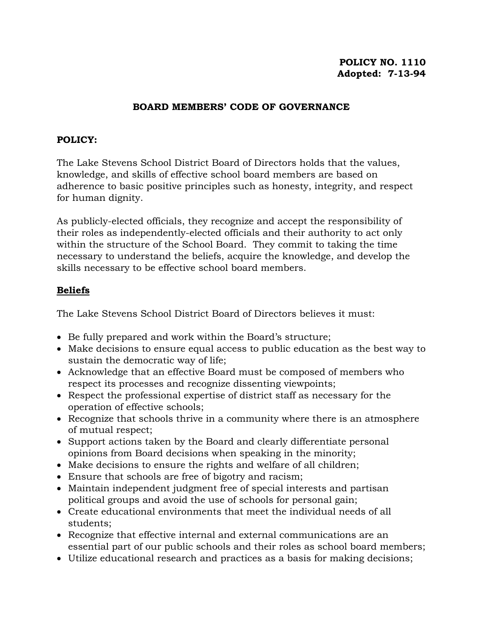# **POLICY NO. 1110 Adopted: 7-13-94**

### **BOARD MEMBERS' CODE OF GOVERNANCE**

#### **POLICY:**

The Lake Stevens School District Board of Directors holds that the values, knowledge, and skills of effective school board members are based on adherence to basic positive principles such as honesty, integrity, and respect for human dignity.

As publicly-elected officials, they recognize and accept the responsibility of their roles as independently-elected officials and their authority to act only within the structure of the School Board. They commit to taking the time necessary to understand the beliefs, acquire the knowledge, and develop the skills necessary to be effective school board members.

## **Beliefs**

The Lake Stevens School District Board of Directors believes it must:

- Be fully prepared and work within the Board's structure;
- Make decisions to ensure equal access to public education as the best way to sustain the democratic way of life;
- Acknowledge that an effective Board must be composed of members who respect its processes and recognize dissenting viewpoints;
- Respect the professional expertise of district staff as necessary for the operation of effective schools;
- Recognize that schools thrive in a community where there is an atmosphere of mutual respect;
- Support actions taken by the Board and clearly differentiate personal opinions from Board decisions when speaking in the minority;
- Make decisions to ensure the rights and welfare of all children;
- Ensure that schools are free of bigotry and racism;
- Maintain independent judgment free of special interests and partisan political groups and avoid the use of schools for personal gain;
- Create educational environments that meet the individual needs of all students;
- Recognize that effective internal and external communications are an essential part of our public schools and their roles as school board members;
- Utilize educational research and practices as a basis for making decisions;